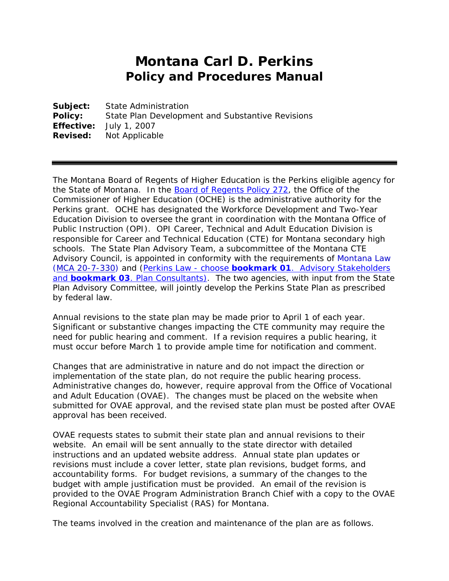## **Montana Carl D. Perkins Policy and Procedures Manual**

**Subject:** State Administration **Policy:** State Plan Development and Substantive Revisions **Effective:** July 1, 2007 **Revised:** Not Applicable

The Montana Board of Regents of Higher Education is the Perkins eligible agency for the State of Montana. In the [Board of Regents Policy 272,](http://www.mus.edu/borpol/bor200/272.pdf) the Office of the Commissioner of Higher Education (OCHE) is the administrative authority for the Perkins grant. OCHE has designated the Workforce Development and Two-Year Education Division to oversee the grant in coordination with the Montana Office of Public Instruction (OPI). OPI Career, Technical and Adult Education Division is responsible for Career and Technical Education (CTE) for Montana secondary high schools. The State Plan Advisory Team, a subcommittee of the Montana CTE Advisory Council, is appointed in conformity with the requirements of Montana Law [\(MCA 20-7-330\)](http://data.opi.mt.gov/bills/mca/20/7/20-7-330.htm) and (Perkins Law - choose *bookmark 01*[. Advisory Stakeholders](http://mus.edu/wd/perkins/2006PerkinsLaw.pdf)  and **bookmark 03**[. Plan Consultants\).](http://mus.edu/wd/perkins/2006PerkinsLaw.pdf) The two agencies, with input from the State Plan Advisory Committee, will jointly develop the Perkins State Plan as prescribed by federal law.

Annual revisions to the state plan may be made prior to April 1 of each year. Significant or substantive changes impacting the CTE community may require the need for public hearing and comment. If a revision requires a public hearing, it must occur before March 1 to provide ample time for notification and comment.

Changes that are administrative in nature and do not impact the direction or implementation of the state plan, do not require the public hearing process. Administrative changes do, however, require approval from the Office of Vocational and Adult Education (OVAE). The changes must be placed on the website when submitted for OVAE approval, and the revised state plan must be posted after OVAE approval has been received.

OVAE requests states to submit their state plan and annual revisions to their website. An email will be sent annually to the state director with detailed instructions and an updated website address. Annual state plan updates or revisions must include a cover letter, state plan revisions, budget forms, and accountability forms. For budget revisions, a summary of the changes to the budget with ample justification must be provided. An email of the revision is provided to the OVAE Program Administration Branch Chief with a copy to the OVAE Regional Accountability Specialist (RAS) for Montana.

The teams involved in the creation and maintenance of the plan are as follows.